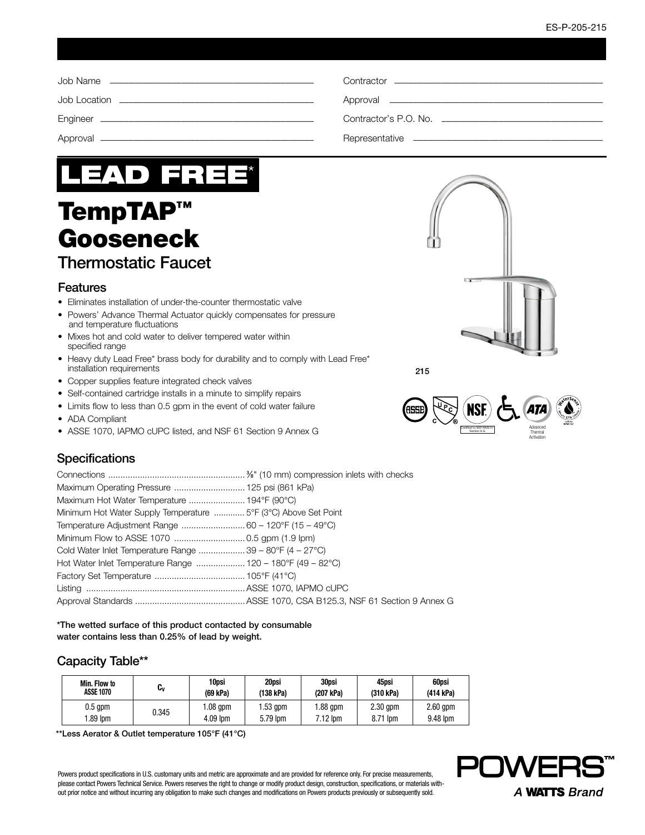

# TempTAP™ Gooseneck

## Thermostatic Faucet

#### Features

- Eliminates installation of under-the-counter thermostatic valve
- Powers' Advance Thermal Actuator quickly compensates for pressure and temperature fluctuations
- Mixes hot and cold water to deliver tempered water within specified range
- Heavy duty Lead Free\* brass body for durability and to comply with Lead Free\* installation requirements
- Copper supplies feature integrated check valves
- Self-contained cartridge installs in a minute to simplify repairs
- Limits flow to less than 0.5 gpm in the event of cold water failure
- ADA Compliant
- ASSE 1070, IAPMO cUPC listed, and NSF 61 Section 9 Annex G





215

## **Specifications**

| Minimum Hot Water Supply Temperature  5°F (3°C) Above Set Point |  |
|-----------------------------------------------------------------|--|
|                                                                 |  |
|                                                                 |  |
| Cold Water Inlet Temperature Range 39 – 80°F (4 – 27°C)         |  |
| Hot Water Inlet Temperature Range  120 – 180°F (49 – 82°C)      |  |
|                                                                 |  |
|                                                                 |  |
|                                                                 |  |

\*The wetted surface of this product contacted by consumable water contains less than 0.25% of lead by weight.

## Capacity Table\*\*

| Min. Flow to     | U۷    | 10psi    | 20psi     | 30psi      | 45psi      | 60psi      |
|------------------|-------|----------|-----------|------------|------------|------------|
| <b>ASSE 1070</b> |       | (69 kPa) | (138 kPa) | (207 kPa)  | (310 kPa)  | (414 kPa)  |
| $0.5$ gpm        | 0.345 | .08 qpm  | l.53 qpm  | 1.88 qpm   | $2.30$ gpm | $2.60$ gpm |
| $.89$ lom        |       | 4.09 lpm | 5.79 lpm  | $7.12$ lpm | 8.71 lpm   | 9.48 lpm   |

\*\*Less Aerator & Outlet temperature 105°F (41°C)

Powers product specifications in U.S. customary units and metric are approximate and are provided for reference only. For precise measurements, please contact Powers Technical Service. Powers reserves the right to change or modify product design, construction, specifications, or materials without prior notice and without incurring any obligation to make such changes and modifications on Powers products previously or subsequently sold.